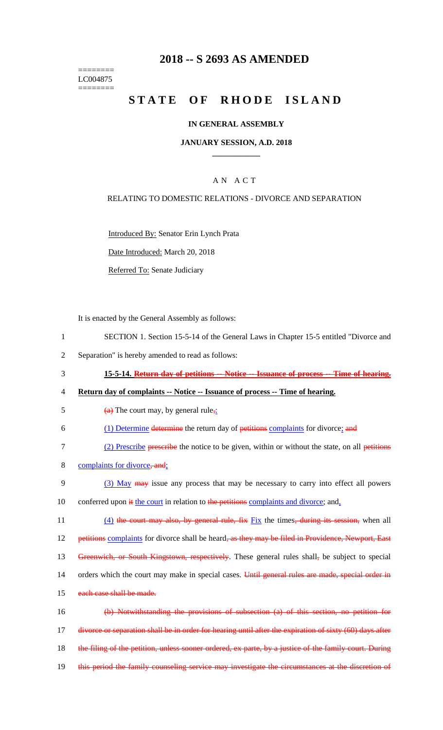#### ======== LC004875 ========

# **2018 -- S 2693 AS AMENDED**

# **STATE OF RHODE ISLAND**

#### **IN GENERAL ASSEMBLY**

#### **JANUARY SESSION, A.D. 2018 \_\_\_\_\_\_\_\_\_\_\_\_**

### A N A C T

#### RELATING TO DOMESTIC RELATIONS - DIVORCE AND SEPARATION

Introduced By: Senator Erin Lynch Prata

Date Introduced: March 20, 2018

Referred To: Senate Judiciary

It is enacted by the General Assembly as follows:

- 1 SECTION 1. Section 15-5-14 of the General Laws in Chapter 15-5 entitled "Divorce and
- 2 Separation" is hereby amended to read as follows:
- 3 **15-5-14. Return day of petitions -- Notice -- Issuance of process -- Time of hearing.**
- 4 **Return day of complaints -- Notice -- Issuance of process -- Time of hearing.**
- 5 (a) The court may, by general rule, 6 (1) Determine determine the return day of petitions complaints for divorce; and 7 (2) Prescribe prescribe the notice to be given, within or without the state, on all petitions
- 8 complaints for divorce, and;
- 9 (3) May may issue any process that may be necessary to carry into effect all powers
- 10 conferred upon it the court in relation to the petitions complaints and divorce; and,
- 11 (4) the court may also, by general rule, fix Fix the times, during its session, when all
- 12 petitions complaints for divorce shall be heard, as they may be filed in Providence, Newport, East
- 13 Greenwich, or South Kingstown, respectively. These general rules shall, be subject to special
- 14 orders which the court may make in special cases. Until general rules are made, special order in
- 15 each case shall be made.
- 16 (b) Notwithstanding the provisions of subsection (a) of this section, no petition for 17 divorce or separation shall be in order for hearing until after the expiration of sixty (60) days after 18 the filing of the petition, unless sooner ordered, ex parte, by a justice of the family court. During 19 this period the family counseling service may investigate the circumstances at the discretion of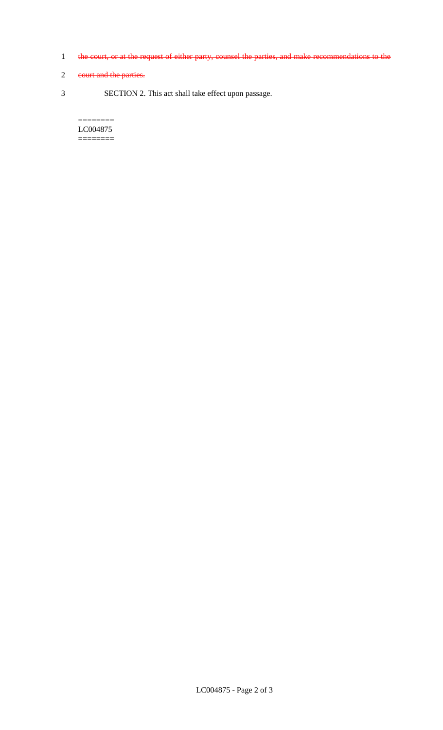- 1 the court, or at the request of either party, counsel the parties, and make recommendations to the
- 2 court and the parties.
- 3 SECTION 2. This act shall take effect upon passage.

 $=$ LC004875 ========